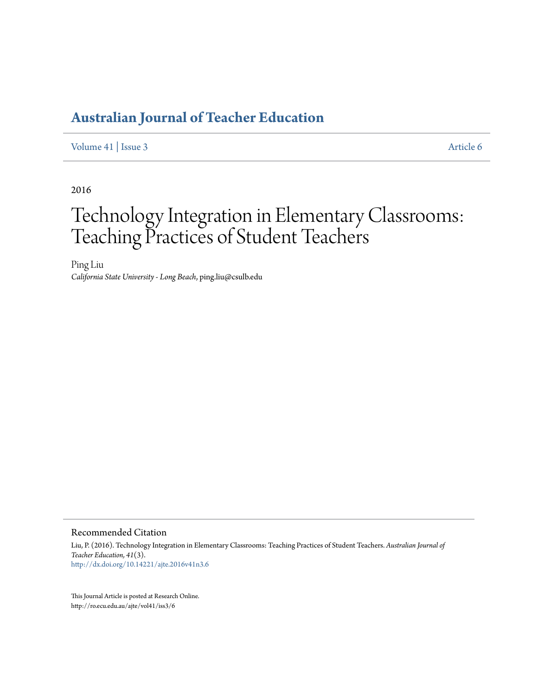[Volume 41](http://ro.ecu.edu.au/ajte/vol41) | [Issue 3](http://ro.ecu.edu.au/ajte/vol41/iss3) [Article 6](http://ro.ecu.edu.au/ajte/vol41/iss3/6)

2016

# Technology Integration in Elementary Classrooms: Teaching Practices of Student Teachers

Ping Liu *California State University - Long Beach*, ping.liu@csulb.edu

#### Recommended Citation

Liu, P. (2016). Technology Integration in Elementary Classrooms: Teaching Practices of Student Teachers. *Australian Journal of Teacher Education, 41*(3). <http://dx.doi.org/10.14221/ajte.2016v41n3.6>

This Journal Article is posted at Research Online. http://ro.ecu.edu.au/ajte/vol41/iss3/6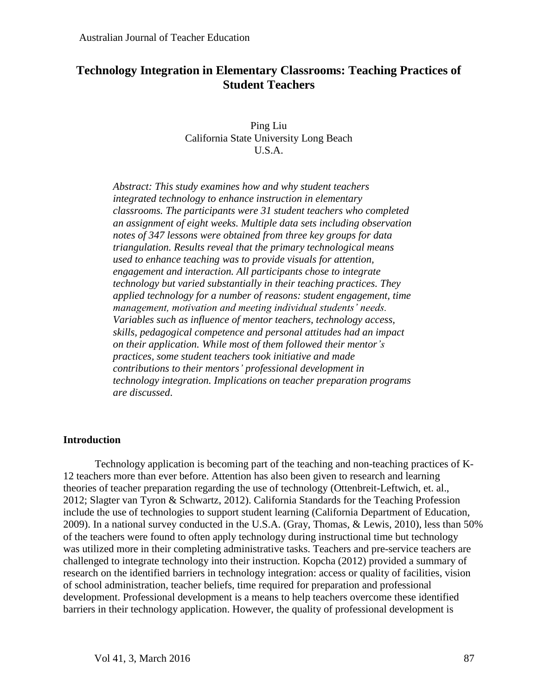# **Technology Integration in Elementary Classrooms: Teaching Practices of Student Teachers**

Ping Liu California State University Long Beach U.S.A.

*Abstract: This study examines how and why student teachers integrated technology to enhance instruction in elementary classrooms. The participants were 31 student teachers who completed an assignment of eight weeks. Multiple data sets including observation notes of 347 lessons were obtained from three key groups for data triangulation. Results reveal that the primary technological means used to enhance teaching was to provide visuals for attention, engagement and interaction. All participants chose to integrate technology but varied substantially in their teaching practices. They applied technology for a number of reasons: student engagement, time management, motivation and meeting individual students' needs. Variables such as influence of mentor teachers, technology access, skills, pedagogical competence and personal attitudes had an impact on their application. While most of them followed their mentor's practices, some student teachers took initiative and made contributions to their mentors' professional development in technology integration. Implications on teacher preparation programs are discussed*.

# **Introduction**

Technology application is becoming part of the teaching and non-teaching practices of K-12 teachers more than ever before. Attention has also been given to research and learning theories of teacher preparation regarding the use of technology (Ottenbreit-Leftwich, et. al., 2012; Slagter van Tyron & Schwartz, 2012). California Standards for the Teaching Profession include the use of technologies to support student learning (California Department of Education, 2009). In a national survey conducted in the U.S.A. (Gray, Thomas, & Lewis, 2010), less than 50% of the teachers were found to often apply technology during instructional time but technology was utilized more in their completing administrative tasks. Teachers and pre-service teachers are challenged to integrate technology into their instruction. Kopcha (2012) provided a summary of research on the identified barriers in technology integration: access or quality of facilities, vision of school administration, teacher beliefs, time required for preparation and professional development. Professional development is a means to help teachers overcome these identified barriers in their technology application. However, the quality of professional development is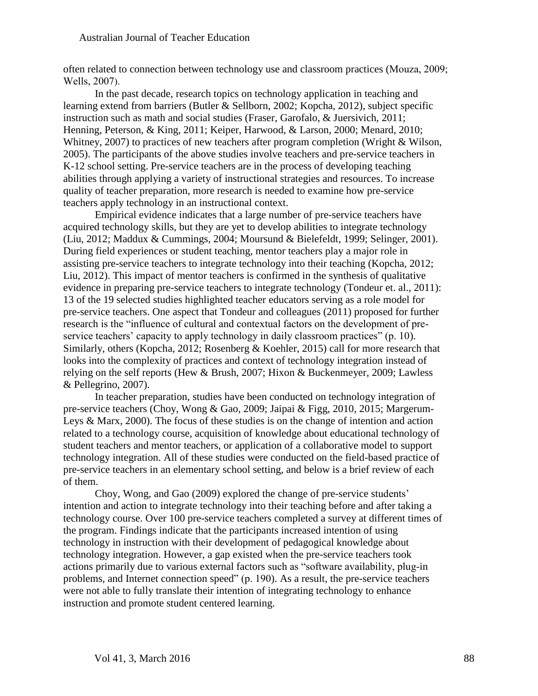often related to connection between technology use and classroom practices (Mouza, 2009; Wells, 2007).

In the past decade, research topics on technology application in teaching and learning extend from barriers (Butler & Sellborn, 2002; Kopcha, 2012), subject specific instruction such as math and social studies (Fraser, Garofalo, & Juersivich, 2011; Henning, Peterson, & King, 2011; Keiper, Harwood, & Larson, 2000; Menard, 2010; Whitney, 2007) to practices of new teachers after program completion (Wright & Wilson, 2005). The participants of the above studies involve teachers and pre-service teachers in K-12 school setting. Pre-service teachers are in the process of developing teaching abilities through applying a variety of instructional strategies and resources. To increase quality of teacher preparation, more research is needed to examine how pre-service teachers apply technology in an instructional context.

Empirical evidence indicates that a large number of pre-service teachers have acquired technology skills, but they are yet to develop abilities to integrate technology (Liu, 2012; Maddux & Cummings, 2004; Moursund & Bielefeldt, 1999; Selinger, 2001). During field experiences or student teaching, mentor teachers play a major role in assisting pre-service teachers to integrate technology into their teaching (Kopcha, 2012; Liu, 2012). This impact of mentor teachers is confirmed in the synthesis of qualitative evidence in preparing pre-service teachers to integrate technology (Tondeur et. al., 2011): 13 of the 19 selected studies highlighted teacher educators serving as a role model for pre-service teachers. One aspect that Tondeur and colleagues (2011) proposed for further research is the "influence of cultural and contextual factors on the development of preservice teachers' capacity to apply technology in daily classroom practices" (p. 10). Similarly, others (Kopcha, 2012; Rosenberg & Koehler, 2015) call for more research that looks into the complexity of practices and context of technology integration instead of relying on the self reports (Hew & Brush, 2007; Hixon & Buckenmeyer, 2009; Lawless & Pellegrino, 2007).

In teacher preparation, studies have been conducted on technology integration of pre-service teachers (Choy, Wong & Gao, 2009; Jaipai & Figg, 2010, 2015; Margerum-Leys & Marx, 2000). The focus of these studies is on the change of intention and action related to a technology course, acquisition of knowledge about educational technology of student teachers and mentor teachers, or application of a collaborative model to support technology integration. All of these studies were conducted on the field-based practice of pre-service teachers in an elementary school setting, and below is a brief review of each of them.

Choy, Wong, and Gao (2009) explored the change of pre-service students' intention and action to integrate technology into their teaching before and after taking a technology course. Over 100 pre-service teachers completed a survey at different times of the program. Findings indicate that the participants increased intention of using technology in instruction with their development of pedagogical knowledge about technology integration. However, a gap existed when the pre-service teachers took actions primarily due to various external factors such as "software availability, plug-in problems, and Internet connection speed" (p. 190). As a result, the pre-service teachers were not able to fully translate their intention of integrating technology to enhance instruction and promote student centered learning.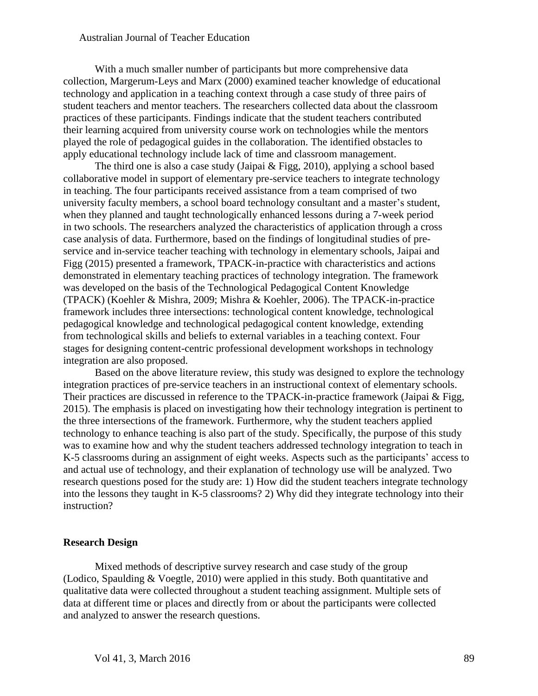With a much smaller number of participants but more comprehensive data collection, Margerum-Leys and Marx (2000) examined teacher knowledge of educational technology and application in a teaching context through a case study of three pairs of student teachers and mentor teachers. The researchers collected data about the classroom practices of these participants. Findings indicate that the student teachers contributed their learning acquired from university course work on technologies while the mentors played the role of pedagogical guides in the collaboration. The identified obstacles to apply educational technology include lack of time and classroom management.

The third one is also a case study (Jaipai  $\&$  Figg, 2010), applying a school based collaborative model in support of elementary pre-service teachers to integrate technology in teaching. The four participants received assistance from a team comprised of two university faculty members, a school board technology consultant and a master's student, when they planned and taught technologically enhanced lessons during a 7-week period in two schools. The researchers analyzed the characteristics of application through a cross case analysis of data. Furthermore, based on the findings of longitudinal studies of preservice and in-service teacher teaching with technology in elementary schools, Jaipai and Figg (2015) presented a framework, TPACK-in-practice with characteristics and actions demonstrated in elementary teaching practices of technology integration. The framework was developed on the basis of the Technological Pedagogical Content Knowledge (TPACK) (Koehler & Mishra, 2009; Mishra & Koehler, 2006). The TPACK-in-practice framework includes three intersections: technological content knowledge, technological pedagogical knowledge and technological pedagogical content knowledge, extending from technological skills and beliefs to external variables in a teaching context. Four stages for designing content-centric professional development workshops in technology integration are also proposed.

Based on the above literature review, this study was designed to explore the technology integration practices of pre-service teachers in an instructional context of elementary schools. Their practices are discussed in reference to the TPACK-in-practice framework (Jaipai & Figg, 2015). The emphasis is placed on investigating how their technology integration is pertinent to the three intersections of the framework. Furthermore, why the student teachers applied technology to enhance teaching is also part of the study. Specifically, the purpose of this study was to examine how and why the student teachers addressed technology integration to teach in K-5 classrooms during an assignment of eight weeks. Aspects such as the participants' access to and actual use of technology, and their explanation of technology use will be analyzed. Two research questions posed for the study are: 1) How did the student teachers integrate technology into the lessons they taught in K-5 classrooms? 2) Why did they integrate technology into their instruction?

#### **Research Design**

Mixed methods of descriptive survey research and case study of the group (Lodico, Spaulding & Voegtle, 2010) were applied in this study. Both quantitative and qualitative data were collected throughout a student teaching assignment. Multiple sets of data at different time or places and directly from or about the participants were collected and analyzed to answer the research questions.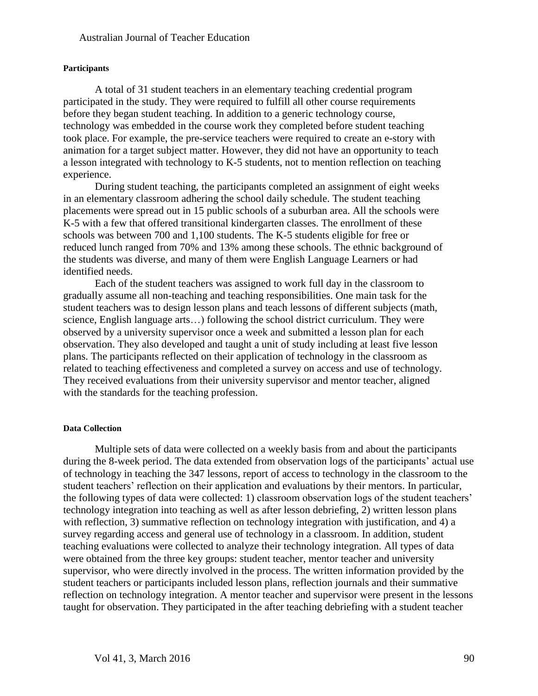#### **Participants**

A total of 31 student teachers in an elementary teaching credential program participated in the study. They were required to fulfill all other course requirements before they began student teaching. In addition to a generic technology course, technology was embedded in the course work they completed before student teaching took place. For example, the pre-service teachers were required to create an e-story with animation for a target subject matter. However, they did not have an opportunity to teach a lesson integrated with technology to K-5 students, not to mention reflection on teaching experience.

During student teaching, the participants completed an assignment of eight weeks in an elementary classroom adhering the school daily schedule. The student teaching placements were spread out in 15 public schools of a suburban area. All the schools were K-5 with a few that offered transitional kindergarten classes. The enrollment of these schools was between 700 and 1,100 students. The K-5 students eligible for free or reduced lunch ranged from 70% and 13% among these schools. The ethnic background of the students was diverse, and many of them were English Language Learners or had identified needs.

Each of the student teachers was assigned to work full day in the classroom to gradually assume all non-teaching and teaching responsibilities. One main task for the student teachers was to design lesson plans and teach lessons of different subjects (math, science, English language arts…) following the school district curriculum. They were observed by a university supervisor once a week and submitted a lesson plan for each observation. They also developed and taught a unit of study including at least five lesson plans. The participants reflected on their application of technology in the classroom as related to teaching effectiveness and completed a survey on access and use of technology. They received evaluations from their university supervisor and mentor teacher, aligned with the standards for the teaching profession.

#### **Data Collection**

Multiple sets of data were collected on a weekly basis from and about the participants during the 8-week period. The data extended from observation logs of the participants' actual use of technology in teaching the 347 lessons, report of access to technology in the classroom to the student teachers' reflection on their application and evaluations by their mentors. In particular, the following types of data were collected: 1) classroom observation logs of the student teachers' technology integration into teaching as well as after lesson debriefing, 2) written lesson plans with reflection, 3) summative reflection on technology integration with justification, and 4) a survey regarding access and general use of technology in a classroom. In addition, student teaching evaluations were collected to analyze their technology integration. All types of data were obtained from the three key groups: student teacher, mentor teacher and university supervisor, who were directly involved in the process. The written information provided by the student teachers or participants included lesson plans, reflection journals and their summative reflection on technology integration. A mentor teacher and supervisor were present in the lessons taught for observation. They participated in the after teaching debriefing with a student teacher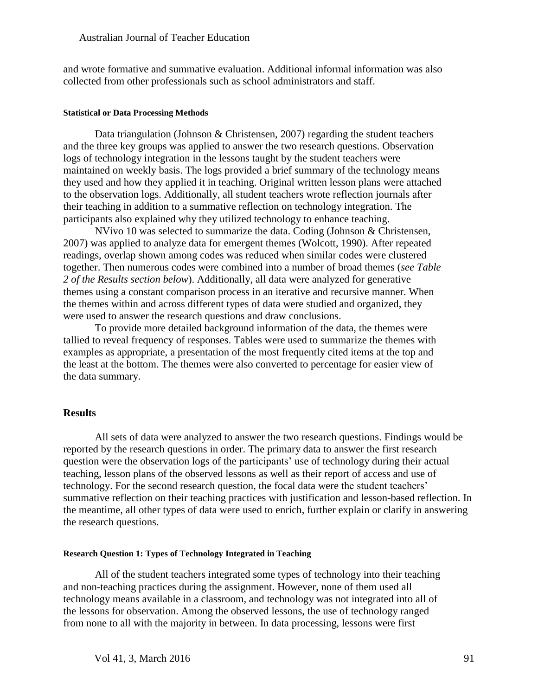and wrote formative and summative evaluation. Additional informal information was also collected from other professionals such as school administrators and staff.

#### **Statistical or Data Processing Methods**

Data triangulation (Johnson & Christensen, 2007) regarding the student teachers and the three key groups was applied to answer the two research questions. Observation logs of technology integration in the lessons taught by the student teachers were maintained on weekly basis. The logs provided a brief summary of the technology means they used and how they applied it in teaching. Original written lesson plans were attached to the observation logs. Additionally, all student teachers wrote reflection journals after their teaching in addition to a summative reflection on technology integration. The participants also explained why they utilized technology to enhance teaching.

NVivo 10 was selected to summarize the data. Coding (Johnson & Christensen, 2007) was applied to analyze data for emergent themes (Wolcott, 1990). After repeated readings, overlap shown among codes was reduced when similar codes were clustered together. Then numerous codes were combined into a number of broad themes (*see Table 2 of the Results section below*). Additionally, all data were analyzed for generative themes using a constant comparison process in an iterative and recursive manner. When the themes within and across different types of data were studied and organized, they were used to answer the research questions and draw conclusions.

To provide more detailed background information of the data, the themes were tallied to reveal frequency of responses. Tables were used to summarize the themes with examples as appropriate, a presentation of the most frequently cited items at the top and the least at the bottom. The themes were also converted to percentage for easier view of the data summary.

# **Results**

All sets of data were analyzed to answer the two research questions. Findings would be reported by the research questions in order. The primary data to answer the first research question were the observation logs of the participants' use of technology during their actual teaching, lesson plans of the observed lessons as well as their report of access and use of technology. For the second research question, the focal data were the student teachers' summative reflection on their teaching practices with justification and lesson-based reflection. In the meantime, all other types of data were used to enrich, further explain or clarify in answering the research questions.

#### **Research Question 1: Types of Technology Integrated in Teaching**

All of the student teachers integrated some types of technology into their teaching and non-teaching practices during the assignment. However, none of them used all technology means available in a classroom, and technology was not integrated into all of the lessons for observation. Among the observed lessons, the use of technology ranged from none to all with the majority in between. In data processing, lessons were first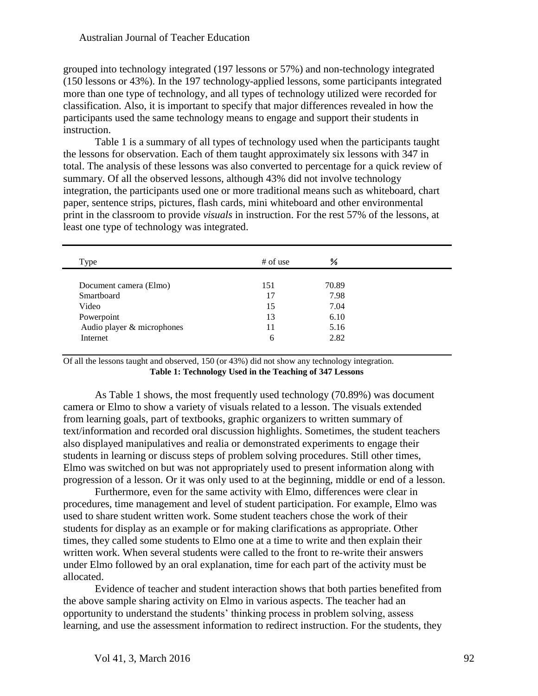grouped into technology integrated (197 lessons or 57%) and non-technology integrated (150 lessons or 43%). In the 197 technology-applied lessons, some participants integrated more than one type of technology, and all types of technology utilized were recorded for classification. Also, it is important to specify that major differences revealed in how the participants used the same technology means to engage and support their students in instruction.

Table 1 is a summary of all types of technology used when the participants taught the lessons for observation. Each of them taught approximately six lessons with 347 in total. The analysis of these lessons was also converted to percentage for a quick review of summary. Of all the observed lessons, although 43% did not involve technology integration, the participants used one or more traditional means such as whiteboard, chart paper, sentence strips, pictures, flash cards, mini whiteboard and other environmental print in the classroom to provide *visuals* in instruction. For the rest 57% of the lessons, at least one type of technology was integrated.

| Type                       | $#$ of use | ℅     |  |
|----------------------------|------------|-------|--|
| Document camera (Elmo)     | 151        | 70.89 |  |
| Smartboard                 | 17         | 7.98  |  |
| Video                      | 15         | 7.04  |  |
| Powerpoint                 | 13         | 6.10  |  |
| Audio player & microphones | 11         | 5.16  |  |
| Internet                   | 6          | 2.82  |  |

Of all the lessons taught and observed, 150 (or 43%) did not show any technology integration. **Table 1: Technology Used in the Teaching of 347 Lessons**

As Table 1 shows, the most frequently used technology (70.89%) was document camera or Elmo to show a variety of visuals related to a lesson. The visuals extended from learning goals, part of textbooks, graphic organizers to written summary of text/information and recorded oral discussion highlights. Sometimes, the student teachers also displayed manipulatives and realia or demonstrated experiments to engage their students in learning or discuss steps of problem solving procedures. Still other times, Elmo was switched on but was not appropriately used to present information along with progression of a lesson. Or it was only used to at the beginning, middle or end of a lesson.

Furthermore, even for the same activity with Elmo, differences were clear in procedures, time management and level of student participation. For example, Elmo was used to share student written work. Some student teachers chose the work of their students for display as an example or for making clarifications as appropriate. Other times, they called some students to Elmo one at a time to write and then explain their written work. When several students were called to the front to re-write their answers under Elmo followed by an oral explanation, time for each part of the activity must be allocated.

Evidence of teacher and student interaction shows that both parties benefited from the above sample sharing activity on Elmo in various aspects. The teacher had an opportunity to understand the students' thinking process in problem solving, assess learning, and use the assessment information to redirect instruction. For the students, they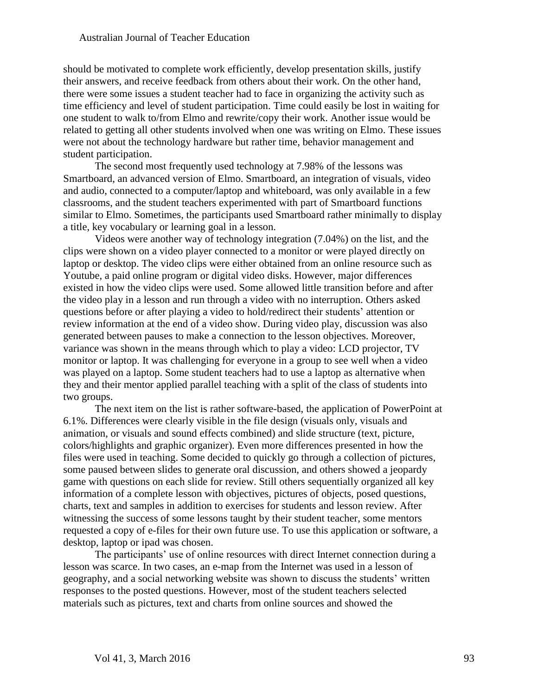should be motivated to complete work efficiently, develop presentation skills, justify their answers, and receive feedback from others about their work. On the other hand, there were some issues a student teacher had to face in organizing the activity such as time efficiency and level of student participation. Time could easily be lost in waiting for one student to walk to/from Elmo and rewrite/copy their work. Another issue would be related to getting all other students involved when one was writing on Elmo. These issues were not about the technology hardware but rather time, behavior management and student participation.

The second most frequently used technology at 7.98% of the lessons was Smartboard, an advanced version of Elmo. Smartboard, an integration of visuals, video and audio, connected to a computer/laptop and whiteboard, was only available in a few classrooms, and the student teachers experimented with part of Smartboard functions similar to Elmo. Sometimes, the participants used Smartboard rather minimally to display a title, key vocabulary or learning goal in a lesson.

Videos were another way of technology integration (7.04%) on the list, and the clips were shown on a video player connected to a monitor or were played directly on laptop or desktop. The video clips were either obtained from an online resource such as Youtube, a paid online program or digital video disks. However, major differences existed in how the video clips were used. Some allowed little transition before and after the video play in a lesson and run through a video with no interruption. Others asked questions before or after playing a video to hold/redirect their students' attention or review information at the end of a video show. During video play, discussion was also generated between pauses to make a connection to the lesson objectives. Moreover, variance was shown in the means through which to play a video: LCD projector, TV monitor or laptop. It was challenging for everyone in a group to see well when a video was played on a laptop. Some student teachers had to use a laptop as alternative when they and their mentor applied parallel teaching with a split of the class of students into two groups.

The next item on the list is rather software-based, the application of PowerPoint at 6.1%. Differences were clearly visible in the file design (visuals only, visuals and animation, or visuals and sound effects combined) and slide structure (text, picture, colors/highlights and graphic organizer). Even more differences presented in how the files were used in teaching. Some decided to quickly go through a collection of pictures, some paused between slides to generate oral discussion, and others showed a jeopardy game with questions on each slide for review. Still others sequentially organized all key information of a complete lesson with objectives, pictures of objects, posed questions, charts, text and samples in addition to exercises for students and lesson review. After witnessing the success of some lessons taught by their student teacher, some mentors requested a copy of e-files for their own future use. To use this application or software, a desktop, laptop or ipad was chosen.

The participants' use of online resources with direct Internet connection during a lesson was scarce. In two cases, an e-map from the Internet was used in a lesson of geography, and a social networking website was shown to discuss the students' written responses to the posted questions. However, most of the student teachers selected materials such as pictures, text and charts from online sources and showed the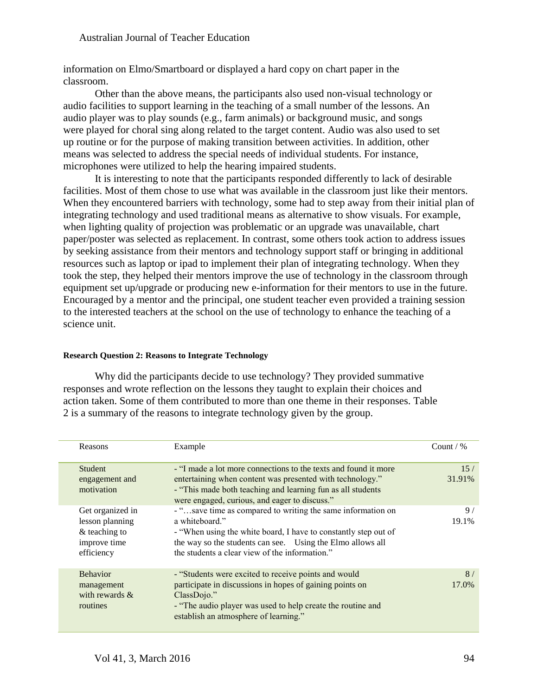information on Elmo/Smartboard or displayed a hard copy on chart paper in the classroom.

Other than the above means, the participants also used non-visual technology or audio facilities to support learning in the teaching of a small number of the lessons. An audio player was to play sounds (e.g., farm animals) or background music, and songs were played for choral sing along related to the target content. Audio was also used to set up routine or for the purpose of making transition between activities. In addition, other means was selected to address the special needs of individual students. For instance, microphones were utilized to help the hearing impaired students.

It is interesting to note that the participants responded differently to lack of desirable facilities. Most of them chose to use what was available in the classroom just like their mentors. When they encountered barriers with technology, some had to step away from their initial plan of integrating technology and used traditional means as alternative to show visuals. For example, when lighting quality of projection was problematic or an upgrade was unavailable, chart paper/poster was selected as replacement. In contrast, some others took action to address issues by seeking assistance from their mentors and technology support staff or bringing in additional resources such as laptop or ipad to implement their plan of integrating technology. When they took the step, they helped their mentors improve the use of technology in the classroom through equipment set up/upgrade or producing new e-information for their mentors to use in the future. Encouraged by a mentor and the principal, one student teacher even provided a training session to the interested teachers at the school on the use of technology to enhance the teaching of a science unit.

# **Research Question 2: Reasons to Integrate Technology**

Why did the participants decide to use technology? They provided summative responses and wrote reflection on the lessons they taught to explain their choices and action taken. Some of them contributed to more than one theme in their responses. Table 2 is a summary of the reasons to integrate technology given by the group.

| Reasons                                                                              | Example                                                                                                                                                                                                                                                          | Count / $%$             |
|--------------------------------------------------------------------------------------|------------------------------------------------------------------------------------------------------------------------------------------------------------------------------------------------------------------------------------------------------------------|-------------------------|
| <b>Student</b><br>engagement and<br>motivation                                       | - "I made a lot more connections to the texts and found it more<br>entertaining when content was presented with technology."<br>- "This made both teaching and learning fun as all students<br>were engaged, curious, and eager to discuss."                     | 15/<br>31.91%           |
| Get organized in<br>lesson planning<br>$&$ teaching to<br>improve time<br>efficiency | - "save time as compared to writing the same information on<br>a whiteboard."<br>- "When using the white board, I have to constantly step out of<br>the way so the students can see. Using the Elmo allows all<br>the students a clear view of the information." | 9 <sub>l</sub><br>19.1% |
| <b>Behavior</b><br>management<br>with rewards $\&$<br>routines                       | - "Students were excited to receive points and would<br>participate in discussions in hopes of gaining points on<br>$ClassDojo.$ "<br>- "The audio player was used to help create the routine and<br>establish an atmosphere of learning."                       | 8/<br>17.0%             |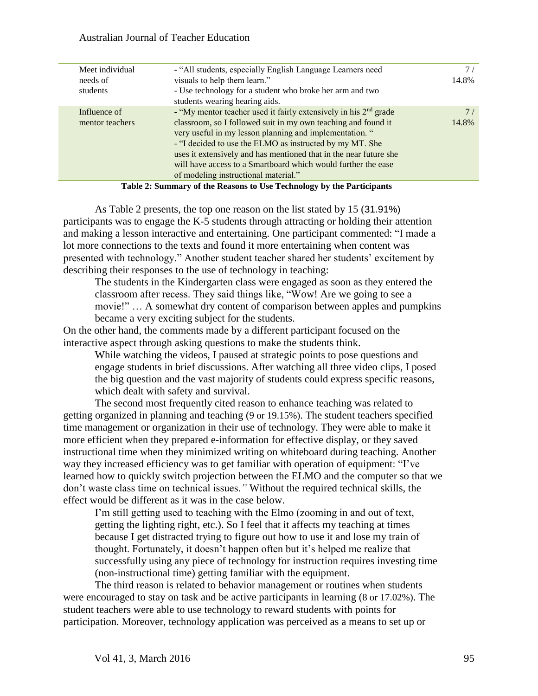| Meet individual | - "All students, especially English Language Learners need                   |       |
|-----------------|------------------------------------------------------------------------------|-------|
| needs of        | visuals to help them learn."                                                 | 14.8% |
| students        | - Use technology for a student who broke her arm and two                     |       |
|                 | students wearing hearing aids.                                               |       |
| Influence of    | - "My mentor teacher used it fairly extensively in his 2 <sup>nd</sup> grade |       |
| mentor teachers | classroom, so I followed suit in my own teaching and found it                | 14.8% |
|                 | very useful in my lesson planning and implementation. "                      |       |
|                 | - "I decided to use the ELMO as instructed by my MT. She                     |       |
|                 | uses it extensively and has mentioned that in the near future she            |       |
|                 | will have access to a Smartboard which would further the ease                |       |
|                 | of modeling instructional material."                                         |       |
|                 |                                                                              |       |

**Table 2: Summary of the Reasons to Use Technology by the Participants**

As Table 2 presents, the top one reason on the list stated by 15 (31.91%) participants was to engage the K-5 students through attracting or holding their attention and making a lesson interactive and entertaining. One participant commented: "I made a lot more connections to the texts and found it more entertaining when content was presented with technology." Another student teacher shared her students' excitement by describing their responses to the use of technology in teaching:

The students in the Kindergarten class were engaged as soon as they entered the classroom after recess. They said things like, "Wow! Are we going to see a movie!" … A somewhat dry content of comparison between apples and pumpkins became a very exciting subject for the students.

On the other hand, the comments made by a different participant focused on the interactive aspect through asking questions to make the students think.

While watching the videos, I paused at strategic points to pose questions and engage students in brief discussions. After watching all three video clips, I posed the big question and the vast majority of students could express specific reasons, which dealt with safety and survival.

The second most frequently cited reason to enhance teaching was related to getting organized in planning and teaching (9 or 19.15%). The student teachers specified time management or organization in their use of technology. They were able to make it more efficient when they prepared e-information for effective display, or they saved instructional time when they minimized writing on whiteboard during teaching. Another way they increased efficiency was to get familiar with operation of equipment: "I've learned how to quickly switch projection between the ELMO and the computer so that we don't waste class time on technical issues.*"* Without the required technical skills, the effect would be different as it was in the case below.

I'm still getting used to teaching with the Elmo (zooming in and out of text, getting the lighting right, etc.). So I feel that it affects my teaching at times because I get distracted trying to figure out how to use it and lose my train of thought. Fortunately, it doesn't happen often but it's helped me realize that successfully using any piece of technology for instruction requires investing time (non-instructional time) getting familiar with the equipment.

The third reason is related to behavior management or routines when students were encouraged to stay on task and be active participants in learning (8 or 17.02%). The student teachers were able to use technology to reward students with points for participation. Moreover, technology application was perceived as a means to set up or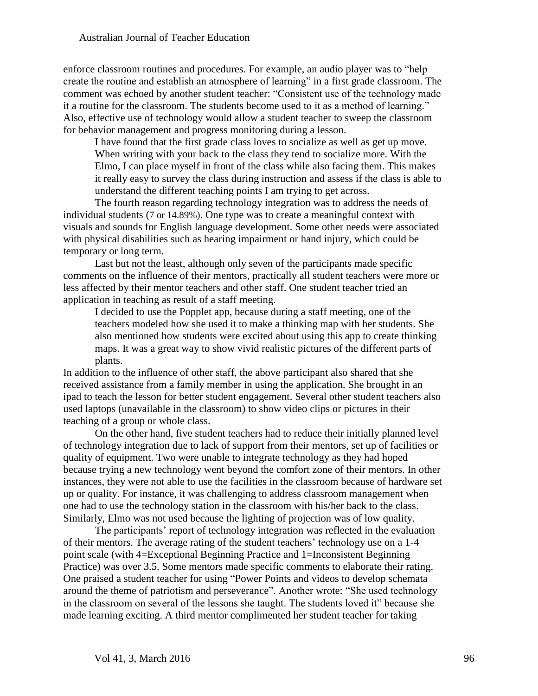enforce classroom routines and procedures. For example, an audio player was to "help create the routine and establish an atmosphere of learning" in a first grade classroom. The comment was echoed by another student teacher: "Consistent use of the technology made it a routine for the classroom. The students become used to it as a method of learning." Also, effective use of technology would allow a student teacher to sweep the classroom for behavior management and progress monitoring during a lesson.

I have found that the first grade class loves to socialize as well as get up move. When writing with your back to the class they tend to socialize more. With the Elmo, I can place myself in front of the class while also facing them. This makes it really easy to survey the class during instruction and assess if the class is able to understand the different teaching points I am trying to get across.

The fourth reason regarding technology integration was to address the needs of individual students (7 or 14.89%). One type was to create a meaningful context with visuals and sounds for English language development. Some other needs were associated with physical disabilities such as hearing impairment or hand injury, which could be temporary or long term.

Last but not the least, although only seven of the participants made specific comments on the influence of their mentors, practically all student teachers were more or less affected by their mentor teachers and other staff. One student teacher tried an application in teaching as result of a staff meeting.

I decided to use the Popplet app, because during a staff meeting, one of the teachers modeled how she used it to make a thinking map with her students. She also mentioned how students were excited about using this app to create thinking maps. It was a great way to show vivid realistic pictures of the different parts of plants.

In addition to the influence of other staff, the above participant also shared that she received assistance from a family member in using the application. She brought in an ipad to teach the lesson for better student engagement. Several other student teachers also used laptops (unavailable in the classroom) to show video clips or pictures in their teaching of a group or whole class.

On the other hand, five student teachers had to reduce their initially planned level of technology integration due to lack of support from their mentors, set up of facilities or quality of equipment. Two were unable to integrate technology as they had hoped because trying a new technology went beyond the comfort zone of their mentors. In other instances, they were not able to use the facilities in the classroom because of hardware set up or quality. For instance, it was challenging to address classroom management when one had to use the technology station in the classroom with his/her back to the class. Similarly, Elmo was not used because the lighting of projection was of low quality.

The participants' report of technology integration was reflected in the evaluation of their mentors. The average rating of the student teachers' technology use on a 1-4 point scale (with 4=Exceptional Beginning Practice and 1=Inconsistent Beginning Practice) was over 3.5. Some mentors made specific comments to elaborate their rating. One praised a student teacher for using "Power Points and videos to develop schemata around the theme of patriotism and perseverance". Another wrote: "She used technology in the classroom on several of the lessons she taught. The students loved it" because she made learning exciting. A third mentor complimented her student teacher for taking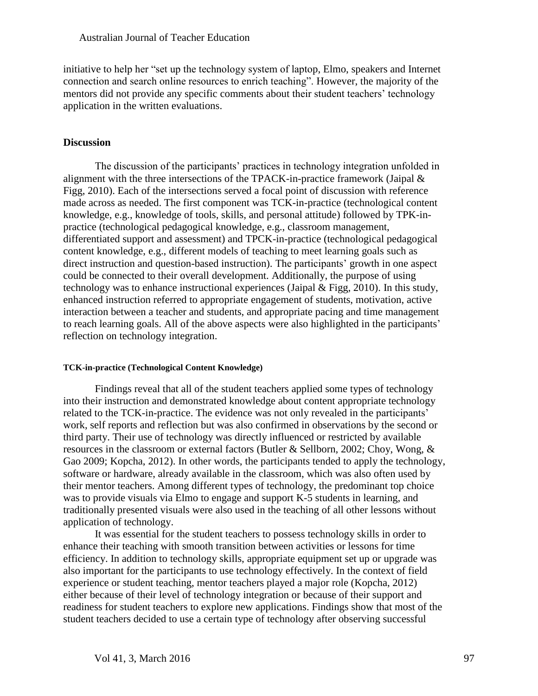initiative to help her "set up the technology system of laptop, Elmo, speakers and Internet connection and search online resources to enrich teaching". However, the majority of the mentors did not provide any specific comments about their student teachers' technology application in the written evaluations.

# **Discussion**

The discussion of the participants' practices in technology integration unfolded in alignment with the three intersections of the TPACK-in-practice framework (Jaipal  $\&$ Figg, 2010). Each of the intersections served a focal point of discussion with reference made across as needed. The first component was TCK-in-practice (technological content knowledge, e.g., knowledge of tools, skills, and personal attitude) followed by TPK-inpractice (technological pedagogical knowledge, e.g., classroom management, differentiated support and assessment) and TPCK-in-practice (technological pedagogical content knowledge, e.g., different models of teaching to meet learning goals such as direct instruction and question-based instruction). The participants' growth in one aspect could be connected to their overall development. Additionally, the purpose of using technology was to enhance instructional experiences (Jaipal & Figg, 2010). In this study, enhanced instruction referred to appropriate engagement of students, motivation, active interaction between a teacher and students, and appropriate pacing and time management to reach learning goals. All of the above aspects were also highlighted in the participants' reflection on technology integration.

# **TCK-in-practice (Technological Content Knowledge)**

Findings reveal that all of the student teachers applied some types of technology into their instruction and demonstrated knowledge about content appropriate technology related to the TCK-in-practice. The evidence was not only revealed in the participants' work, self reports and reflection but was also confirmed in observations by the second or third party. Their use of technology was directly influenced or restricted by available resources in the classroom or external factors (Butler & Sellborn, 2002; Choy, Wong, & Gao 2009; Kopcha, 2012). In other words, the participants tended to apply the technology, software or hardware, already available in the classroom, which was also often used by their mentor teachers. Among different types of technology, the predominant top choice was to provide visuals via Elmo to engage and support K-5 students in learning, and traditionally presented visuals were also used in the teaching of all other lessons without application of technology.

It was essential for the student teachers to possess technology skills in order to enhance their teaching with smooth transition between activities or lessons for time efficiency. In addition to technology skills, appropriate equipment set up or upgrade was also important for the participants to use technology effectively. In the context of field experience or student teaching, mentor teachers played a major role (Kopcha, 2012) either because of their level of technology integration or because of their support and readiness for student teachers to explore new applications. Findings show that most of the student teachers decided to use a certain type of technology after observing successful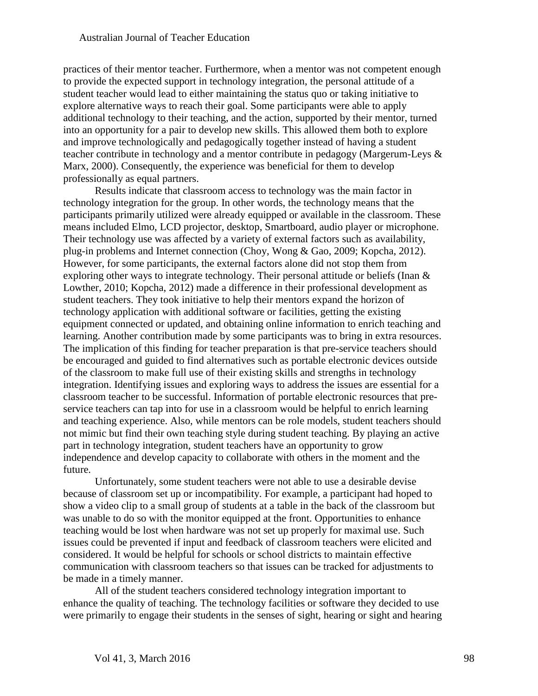practices of their mentor teacher. Furthermore, when a mentor was not competent enough to provide the expected support in technology integration, the personal attitude of a student teacher would lead to either maintaining the status quo or taking initiative to explore alternative ways to reach their goal. Some participants were able to apply additional technology to their teaching, and the action, supported by their mentor, turned into an opportunity for a pair to develop new skills. This allowed them both to explore and improve technologically and pedagogically together instead of having a student teacher contribute in technology and a mentor contribute in pedagogy (Margerum-Leys & Marx, 2000). Consequently, the experience was beneficial for them to develop professionally as equal partners.

Results indicate that classroom access to technology was the main factor in technology integration for the group. In other words, the technology means that the participants primarily utilized were already equipped or available in the classroom. These means included Elmo, LCD projector, desktop, Smartboard, audio player or microphone. Their technology use was affected by a variety of external factors such as availability, plug-in problems and Internet connection (Choy, Wong & Gao, 2009; Kopcha, 2012). However, for some participants, the external factors alone did not stop them from exploring other ways to integrate technology. Their personal attitude or beliefs (Inan & Lowther, 2010; Kopcha, 2012) made a difference in their professional development as student teachers. They took initiative to help their mentors expand the horizon of technology application with additional software or facilities, getting the existing equipment connected or updated, and obtaining online information to enrich teaching and learning. Another contribution made by some participants was to bring in extra resources. The implication of this finding for teacher preparation is that pre-service teachers should be encouraged and guided to find alternatives such as portable electronic devices outside of the classroom to make full use of their existing skills and strengths in technology integration. Identifying issues and exploring ways to address the issues are essential for a classroom teacher to be successful. Information of portable electronic resources that preservice teachers can tap into for use in a classroom would be helpful to enrich learning and teaching experience. Also, while mentors can be role models, student teachers should not mimic but find their own teaching style during student teaching. By playing an active part in technology integration, student teachers have an opportunity to grow independence and develop capacity to collaborate with others in the moment and the future.

Unfortunately, some student teachers were not able to use a desirable devise because of classroom set up or incompatibility. For example, a participant had hoped to show a video clip to a small group of students at a table in the back of the classroom but was unable to do so with the monitor equipped at the front. Opportunities to enhance teaching would be lost when hardware was not set up properly for maximal use. Such issues could be prevented if input and feedback of classroom teachers were elicited and considered. It would be helpful for schools or school districts to maintain effective communication with classroom teachers so that issues can be tracked for adjustments to be made in a timely manner.

All of the student teachers considered technology integration important to enhance the quality of teaching. The technology facilities or software they decided to use were primarily to engage their students in the senses of sight, hearing or sight and hearing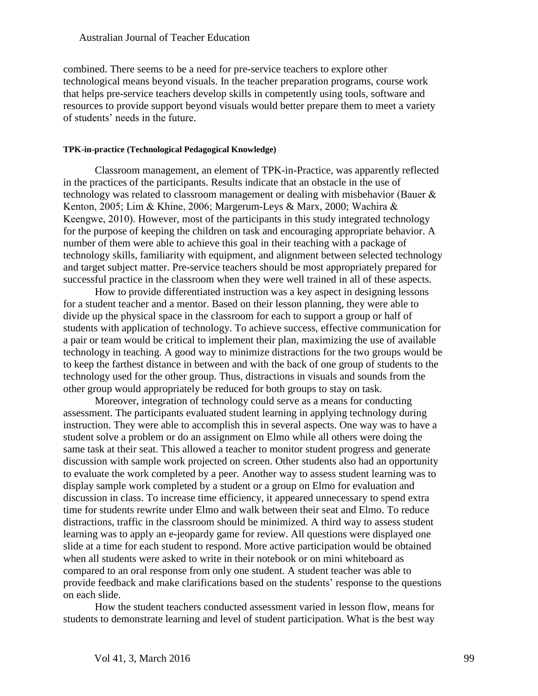combined. There seems to be a need for pre-service teachers to explore other technological means beyond visuals. In the teacher preparation programs, course work that helps pre-service teachers develop skills in competently using tools, software and resources to provide support beyond visuals would better prepare them to meet a variety of students' needs in the future.

#### **TPK-in-practice (Technological Pedagogical Knowledge)**

Classroom management, an element of TPK-in-Practice, was apparently reflected in the practices of the participants. Results indicate that an obstacle in the use of technology was related to classroom management or dealing with misbehavior (Bauer & Kenton, 2005; Lim & Khine, 2006; Margerum-Leys & Marx, 2000; Wachira & Keengwe, 2010). However, most of the participants in this study integrated technology for the purpose of keeping the children on task and encouraging appropriate behavior. A number of them were able to achieve this goal in their teaching with a package of technology skills, familiarity with equipment, and alignment between selected technology and target subject matter. Pre-service teachers should be most appropriately prepared for successful practice in the classroom when they were well trained in all of these aspects.

How to provide differentiated instruction was a key aspect in designing lessons for a student teacher and a mentor. Based on their lesson planning, they were able to divide up the physical space in the classroom for each to support a group or half of students with application of technology. To achieve success, effective communication for a pair or team would be critical to implement their plan, maximizing the use of available technology in teaching. A good way to minimize distractions for the two groups would be to keep the farthest distance in between and with the back of one group of students to the technology used for the other group. Thus, distractions in visuals and sounds from the other group would appropriately be reduced for both groups to stay on task.

Moreover, integration of technology could serve as a means for conducting assessment. The participants evaluated student learning in applying technology during instruction. They were able to accomplish this in several aspects. One way was to have a student solve a problem or do an assignment on Elmo while all others were doing the same task at their seat. This allowed a teacher to monitor student progress and generate discussion with sample work projected on screen. Other students also had an opportunity to evaluate the work completed by a peer. Another way to assess student learning was to display sample work completed by a student or a group on Elmo for evaluation and discussion in class. To increase time efficiency, it appeared unnecessary to spend extra time for students rewrite under Elmo and walk between their seat and Elmo. To reduce distractions, traffic in the classroom should be minimized. A third way to assess student learning was to apply an e-jeopardy game for review. All questions were displayed one slide at a time for each student to respond. More active participation would be obtained when all students were asked to write in their notebook or on mini whiteboard as compared to an oral response from only one student. A student teacher was able to provide feedback and make clarifications based on the students' response to the questions on each slide.

How the student teachers conducted assessment varied in lesson flow, means for students to demonstrate learning and level of student participation. What is the best way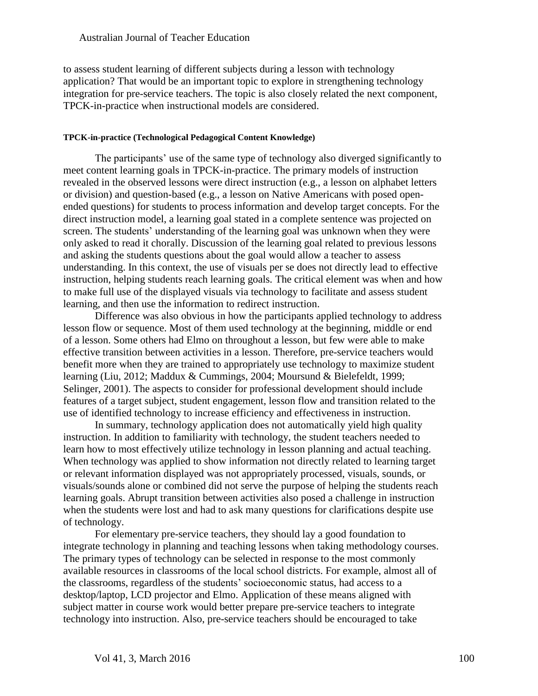to assess student learning of different subjects during a lesson with technology application? That would be an important topic to explore in strengthening technology integration for pre-service teachers. The topic is also closely related the next component, TPCK-in-practice when instructional models are considered.

#### **TPCK-in-practice (Technological Pedagogical Content Knowledge)**

The participants' use of the same type of technology also diverged significantly to meet content learning goals in TPCK-in-practice. The primary models of instruction revealed in the observed lessons were direct instruction (e.g., a lesson on alphabet letters or division) and question-based (e.g., a lesson on Native Americans with posed openended questions) for students to process information and develop target concepts. For the direct instruction model, a learning goal stated in a complete sentence was projected on screen. The students' understanding of the learning goal was unknown when they were only asked to read it chorally. Discussion of the learning goal related to previous lessons and asking the students questions about the goal would allow a teacher to assess understanding. In this context, the use of visuals per se does not directly lead to effective instruction, helping students reach learning goals. The critical element was when and how to make full use of the displayed visuals via technology to facilitate and assess student learning, and then use the information to redirect instruction.

Difference was also obvious in how the participants applied technology to address lesson flow or sequence. Most of them used technology at the beginning, middle or end of a lesson. Some others had Elmo on throughout a lesson, but few were able to make effective transition between activities in a lesson. Therefore, pre-service teachers would benefit more when they are trained to appropriately use technology to maximize student learning (Liu, 2012; Maddux & Cummings, 2004; Moursund & Bielefeldt, 1999; Selinger, 2001). The aspects to consider for professional development should include features of a target subject, student engagement, lesson flow and transition related to the use of identified technology to increase efficiency and effectiveness in instruction.

In summary, technology application does not automatically yield high quality instruction. In addition to familiarity with technology, the student teachers needed to learn how to most effectively utilize technology in lesson planning and actual teaching. When technology was applied to show information not directly related to learning target or relevant information displayed was not appropriately processed, visuals, sounds, or visuals/sounds alone or combined did not serve the purpose of helping the students reach learning goals. Abrupt transition between activities also posed a challenge in instruction when the students were lost and had to ask many questions for clarifications despite use of technology.

For elementary pre-service teachers, they should lay a good foundation to integrate technology in planning and teaching lessons when taking methodology courses. The primary types of technology can be selected in response to the most commonly available resources in classrooms of the local school districts. For example, almost all of the classrooms, regardless of the students' socioeconomic status, had access to a desktop/laptop, LCD projector and Elmo. Application of these means aligned with subject matter in course work would better prepare pre-service teachers to integrate technology into instruction. Also, pre-service teachers should be encouraged to take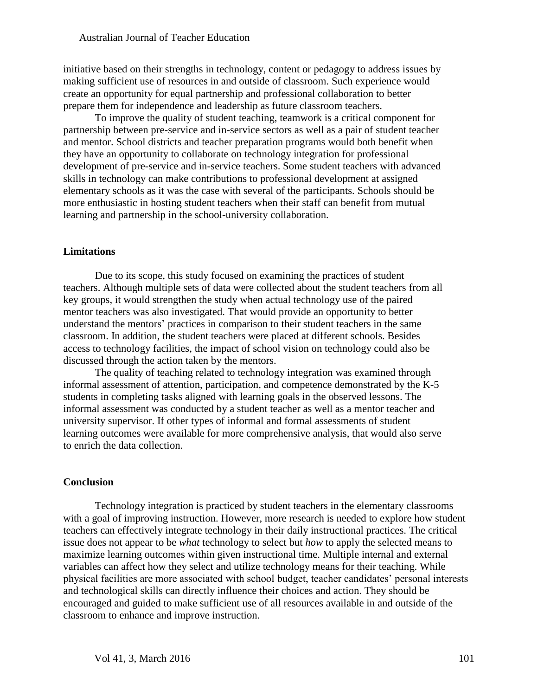initiative based on their strengths in technology, content or pedagogy to address issues by making sufficient use of resources in and outside of classroom. Such experience would create an opportunity for equal partnership and professional collaboration to better prepare them for independence and leadership as future classroom teachers.

To improve the quality of student teaching, teamwork is a critical component for partnership between pre-service and in-service sectors as well as a pair of student teacher and mentor. School districts and teacher preparation programs would both benefit when they have an opportunity to collaborate on technology integration for professional development of pre-service and in-service teachers. Some student teachers with advanced skills in technology can make contributions to professional development at assigned elementary schools as it was the case with several of the participants. Schools should be more enthusiastic in hosting student teachers when their staff can benefit from mutual learning and partnership in the school-university collaboration.

## **Limitations**

Due to its scope, this study focused on examining the practices of student teachers. Although multiple sets of data were collected about the student teachers from all key groups, it would strengthen the study when actual technology use of the paired mentor teachers was also investigated. That would provide an opportunity to better understand the mentors' practices in comparison to their student teachers in the same classroom. In addition, the student teachers were placed at different schools. Besides access to technology facilities, the impact of school vision on technology could also be discussed through the action taken by the mentors.

The quality of teaching related to technology integration was examined through informal assessment of attention, participation, and competence demonstrated by the K-5 students in completing tasks aligned with learning goals in the observed lessons. The informal assessment was conducted by a student teacher as well as a mentor teacher and university supervisor. If other types of informal and formal assessments of student learning outcomes were available for more comprehensive analysis, that would also serve to enrich the data collection.

#### **Conclusion**

Technology integration is practiced by student teachers in the elementary classrooms with a goal of improving instruction. However, more research is needed to explore how student teachers can effectively integrate technology in their daily instructional practices. The critical issue does not appear to be *what* technology to select but *how* to apply the selected means to maximize learning outcomes within given instructional time. Multiple internal and external variables can affect how they select and utilize technology means for their teaching. While physical facilities are more associated with school budget, teacher candidates' personal interests and technological skills can directly influence their choices and action. They should be encouraged and guided to make sufficient use of all resources available in and outside of the classroom to enhance and improve instruction.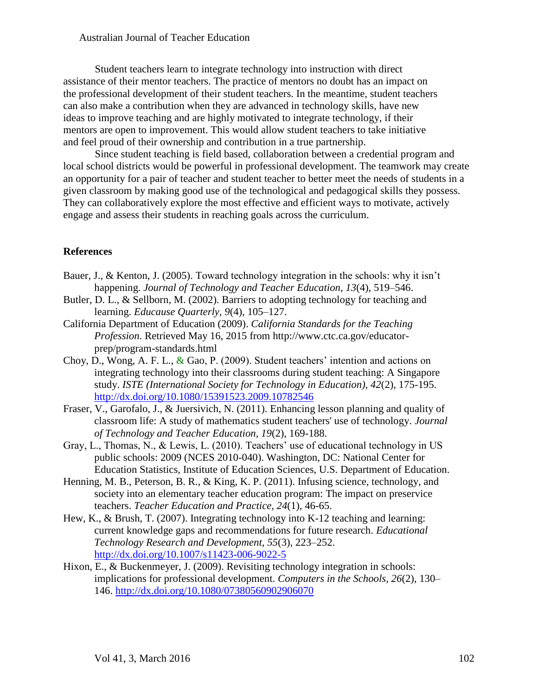Student teachers learn to integrate technology into instruction with direct assistance of their mentor teachers. The practice of mentors no doubt has an impact on the professional development of their student teachers. In the meantime, student teachers can also make a contribution when they are advanced in technology skills, have new ideas to improve teaching and are highly motivated to integrate technology, if their mentors are open to improvement. This would allow student teachers to take initiative and feel proud of their ownership and contribution in a true partnership.

Since student teaching is field based, collaboration between a credential program and local school districts would be powerful in professional development. The teamwork may create an opportunity for a pair of teacher and student teacher to better meet the needs of students in a given classroom by making good use of the technological and pedagogical skills they possess. They can collaboratively explore the most effective and efficient ways to motivate, actively engage and assess their students in reaching goals across the curriculum.

# **References**

- Bauer, J., & Kenton, J. (2005). Toward technology integration in the schools: why it isn't happening. *Journal of Technology and Teacher Education, 13*(4), 519–546.
- Butler, D. L., & Sellborn, M. (2002). Barriers to adopting technology for teaching and learning. *Educause Quarterly, 9*(4)*,* 105–127.
- California Department of Education (2009). *California Standards for the Teaching Profession*. Retrieved May 16, 2015 from http://www.ctc.ca.gov/educatorprep/program-standards.html
- Choy, D., Wong, A. F. L.,  $\&$  Gao, P. (2009). Student teachers' intention and actions on integrating technology into their classrooms during student teaching: A Singapore study. *ISTE (International Society for Technology in Education), 42*(2), 175-195. <http://dx.doi.org/10.1080/15391523.2009.10782546>
- Fraser, V., Garofalo, J., & Juersivich, N. (2011). Enhancing lesson planning and quality of classroom life: A study of mathematics student teachers' use of technology. *Journal of Technology and Teacher Education, 19*(2), 169-188.
- Gray, L., Thomas, N., & Lewis, L. (2010). Teachers' use of educational technology in US public schools: 2009 (NCES 2010-040). Washington, DC: National Center for Education Statistics, Institute of Education Sciences, U.S. Department of Education.
- Henning, M. B., Peterson, B. R., & King, K. P. (2011). Infusing science, technology, and society into an elementary teacher education program: The impact on preservice teachers. *Teacher Education and Practice, 24*(1), 46-65.
- Hew, K., & Brush, T. (2007). Integrating technology into K-12 teaching and learning: current knowledge gaps and recommendations for future research. *Educational Technology Research and Development, 55*(3), 223–252. <http://dx.doi.org/10.1007/s11423-006-9022-5>
- Hixon, E., & Buckenmeyer, J. (2009). Revisiting technology integration in schools: implications for professional development. *Computers in the Schools, 26*(2), 130– 146. <http://dx.doi.org/10.1080/07380560902906070>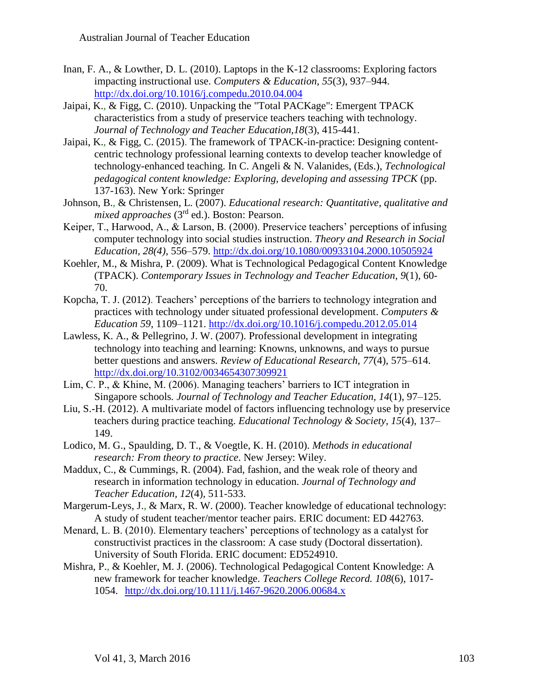- Inan, F. A., & Lowther, D. L. (2010). Laptops in the K-12 classrooms: Exploring factors impacting instructional use. *Computers & Education, 55*(3), 937–944. <http://dx.doi.org/10.1016/j.compedu.2010.04.004>
- Jaipai, K., & Figg, C. (2010). Unpacking the "Total PACKage": Emergent TPACK characteristics from a study of preservice teachers teaching with technology. *Journal of Technology and Teacher Education,18*(3), 415-441.
- Jaipai, K., & Figg, C. (2015). The framework of TPACK-in-practice: Designing contentcentric technology professional learning contexts to develop teacher knowledge of technology-enhanced teaching. In C. Angeli & N. Valanides, (Eds.), *Technological pedagogical content knowledge: Exploring, developing and assessing TPCK* (pp. 137-163). New York: Springer
- Johnson, B., & Christensen, L. (2007). *Educational research: Quantitative, qualitative and mixed approaches* (3rd ed.). Boston: Pearson.
- Keiper, T., Harwood, A., & Larson, B. (2000). Preservice teachers' perceptions of infusing computer technology into social studies instruction. *Theory and Research in Social Education, 28(4),* 556–579. <http://dx.doi.org/10.1080/00933104.2000.10505924>
- Koehler, M., & Mishra, P. (2009). What is Technological Pedagogical Content Knowledge (TPACK). *Contemporary Issues in Technology and Teacher Education*, *9*(1), 60- 70.
- Kopcha, T. J. (2012). Teachers' perceptions of the barriers to technology integration and practices with technology under situated professional development. *Computers & Education 59*, 1109–1121. <http://dx.doi.org/10.1016/j.compedu.2012.05.014>
- Lawless, K. A., & Pellegrino, J. W. (2007). Professional development in integrating technology into teaching and learning: Knowns, unknowns, and ways to pursue better questions and answers. *Review of Educational Research, 77*(4), 575–614. <http://dx.doi.org/10.3102/0034654307309921>
- Lim, C. P., & Khine, M. (2006). Managing teachers' barriers to ICT integration in Singapore schools*. Journal of Technology and Teacher Education, 14*(1), 97–125.
- Liu, S.-H. (2012). A multivariate model of factors influencing technology use by preservice teachers during practice teaching. *Educational Technology & Society, 15*(4), 137– 149.
- Lodico, M. G., Spaulding, D. T., & Voegtle, K. H. (2010). *Methods in educational research: From theory to practice*. New Jersey: Wiley.
- Maddux, C., & Cummings, R. (2004). Fad, fashion, and the weak role of theory and research in information technology in education. *Journal of Technology and Teacher Education, 12*(4)*,* 511-533.
- Margerum-Leys, J., & Marx, R. W. (2000). Teacher knowledge of educational technology: A study of student teacher/mentor teacher pairs. ERIC document: ED 442763.
- Menard, L. B. (2010). Elementary teachers' perceptions of technology as a catalyst for constructivist practices in the classroom: A case study (Doctoral dissertation). University of South Florida. ERIC document: ED524910.
- Mishra, P., & Koehler, M. J. (2006). Technological Pedagogical Content Knowledge: A new framework for teacher knowledge. *Teachers College Record. 108*(6), 1017- 1054. <http://dx.doi.org/10.1111/j.1467-9620.2006.00684.x>